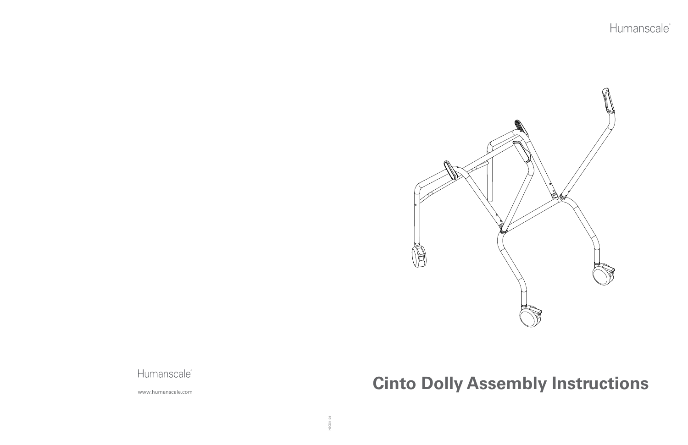



HSCDI1109

# Humanscale<sup>\*</sup><br>WWW.humanscale.com

## Humanscale®